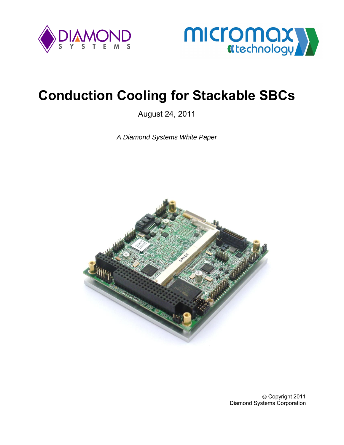



# **Conduction Cooling for Stackable SBCs**

August 24, 2011

*A Diamond Systems White Paper* 



Copyright 2011 Diamond Systems Corporation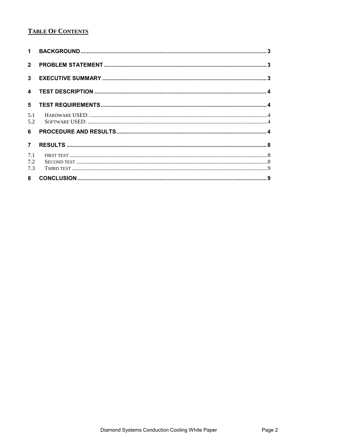# **TABLE OF CONTENTS**

| $\mathbf 1$             |  |
|-------------------------|--|
| $\overline{2}$          |  |
| 3 <sup>1</sup>          |  |
| $\overline{\mathbf{4}}$ |  |
| $5\phantom{.0}$         |  |
| 5.1<br>5.2              |  |
| 6                       |  |
| $\overline{7}$          |  |
| 7.1                     |  |
| 7.2<br>7.3              |  |
|                         |  |
| 8                       |  |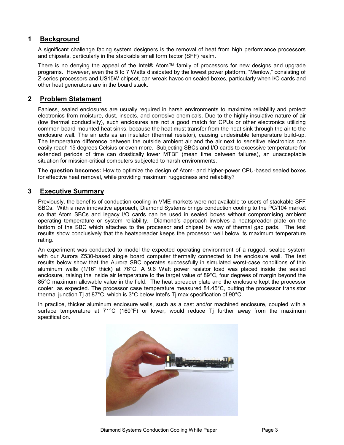# <span id="page-2-0"></span>**1 Background**

A significant challenge facing system designers is the removal of heat from high performance processors and chipsets, particularly in the stackable small form factor (SFF) realm.

There is no denying the appeal of the Intel® Atom™ family of processors for new designs and upgrade programs. However, even the 5 to 7 Watts dissipated by the lowest power platform, "Menlow," consisting of Z-series processors and US15W chipset, can wreak havoc on sealed boxes, particularly when I/O cards and other heat generators are in the board stack.

## <span id="page-2-1"></span>**2 Problem Statement**

Fanless, sealed enclosures are usually required in harsh environments to maximize reliability and protect electronics from moisture, dust, insects, and corrosive chemicals. Due to the highly insulative nature of air (low thermal conductivity), such enclosures are not a good match for CPUs or other electronics utilizing common board-mounted heat sinks, because the heat must transfer from the heat sink through the air to the enclosure wall. The air acts as an insulator (thermal resistor), causing undesirable temperature build-up. The temperature difference between the outside ambient air and the air next to sensitive electronics can easily reach 15 degrees Celsius or even more. Subjecting SBCs and I/O cards to excessive temperature for extended periods of time can drastically lower MTBF (mean time between failures), an unacceptable situation for mission-critical computers subjected to harsh environments.

**The question becomes:** How to optimize the design of Atom- and higher-power CPU-based sealed boxes for effective heat removal, while providing maximum ruggedness and reliability?

## <span id="page-2-2"></span>**3 Executive Summary**

Previously, the benefits of conduction cooling in VME markets were not available to users of stackable SFF SBCs. With a new innovative approach, Diamond Systems brings conduction cooling to the PC/104 market so that Atom SBCs and legacy I/O cards can be used in sealed boxes without compromising ambient operating temperature or system reliability. Diamond's approach involves a heatspreader plate on the bottom of the SBC which attaches to the processor and chipset by way of thermal gap pads. The test results show conclusively that the heatspreader keeps the processor well below its maximum temperature rating.

An experiment was conducted to model the expected operating environment of a rugged, sealed system with our Aurora Z530-based single board computer thermally connected to the enclosure wall. The test results below show that the Aurora SBC operates successfully in simulated worst-case conditions of thin aluminum walls (1/16" thick) at 76°C. A 9.6 Watt power resistor load was placed inside the sealed enclosure, raising the inside air temperature to the target value of 89°C, four degrees of margin beyond the 85°C maximum allowable value in the field. The heat spreader plate and the enclosure kept the processor cooler, as expected. The processor case temperature measured 84.45°C, putting the processor transistor thermal junction Tj at 87 $^{\circ}$ C, which is 3 $^{\circ}$ C below Intel's Tj max specification of 90 $^{\circ}$ C.

In practice, thicker aluminum enclosure walls, such as a cast and/or machined enclosure, coupled with a surface temperature at  $71^{\circ}$ C (160°F) or lower, would reduce T<sub>i</sub> further away from the maximum specification.

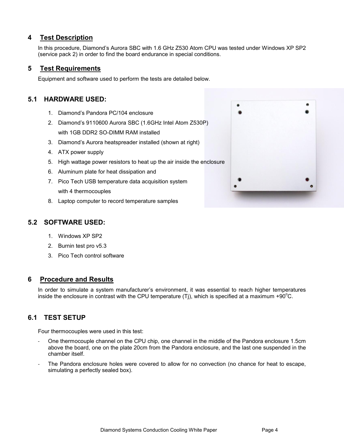## <span id="page-3-0"></span>**4 Test Description**

In this procedure, Diamond's Aurora SBC with 1.6 GHz Z530 Atom CPU was tested under Windows XP SP2 (service pack 2) in order to find the board endurance in special conditions.

#### <span id="page-3-1"></span>**5 Test Requirements**

Equipment and software used to perform the tests are detailed below.

# <span id="page-3-2"></span>**5.1 HARDWARE USED:**

- 1. Diamond's Pandora PC/104 enclosure
- 2. Diamond's 9110600 Aurora SBC (1.6GHz Intel Atom Z530P) with 1GB DDR2 SO-DIMM RAM installed
- 3. Diamond's Aurora heatspreader installed (shown at right)
- 4. ATX power supply
- 5. High wattage power resistors to heat up the air inside the enclosure
- 6. Aluminum plate for heat dissipation and
- 7. Pico Tech USB temperature data acquisition system with 4 thermocouples
- 8. Laptop computer to record temperature samples

## <span id="page-3-3"></span>**5.2 SOFTWARE USED:**

- 1. Windows XP SP2
- 2. Burnin test pro v5.3
- 3. Pico Tech control software

#### <span id="page-3-4"></span>**6 Procedure and Results**

In order to simulate a system manufacturer's environment, it was essential to reach higher temperatures inside the enclosure in contrast with the CPU temperature (Tj), which is specified at a maximum +90 $\degree$ C.

# **6.1 TEST SETUP**

Four thermocouples were used in this test:

- One thermocouple channel on the CPU chip, one channel in the middle of the Pandora enclosure 1.5cm above the board, one on the plate 20cm from the Pandora enclosure, and the last one suspended in the chamber itself.
- The Pandora enclosure holes were covered to allow for no convection (no chance for heat to escape, simulating a perfectly sealed box).

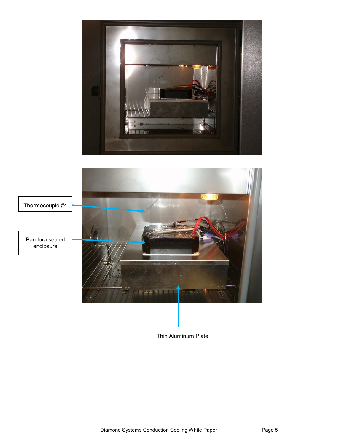

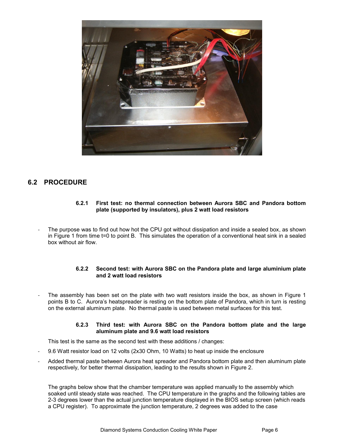

# **6.2 PROCEDURE**

#### **6.2.1 First test: no thermal connection between Aurora SBC and Pandora bottom plate (supported by insulators), plus 2 watt load resistors**

The purpose was to find out how hot the CPU got without dissipation and inside a sealed box, as shown in Figure 1 from time t=0 to point B. This simulates the operation of a conventional heat sink in a sealed box without air flow.

#### **6.2.2 Second test: with Aurora SBC on the Pandora plate and large aluminium plate and 2 watt load resistors**

The assembly has been set on the plate with two watt resistors inside the box, as shown in Figure 1 points B to C. Aurora's heatspreader is resting on the bottom plate of Pandora, which in turn is resting on the external aluminum plate. No thermal paste is used between metal surfaces for this test.

#### **6.2.3 Third test: with Aurora SBC on the Pandora bottom plate and the large aluminum plate and 9.6 watt load resistors**

This test is the same as the second test with these additions / changes:

- 9.6 Watt resistor load on 12 volts (2x30 Ohm, 10 Watts) to heat up inside the enclosure
- Added thermal paste between Aurora heat spreader and Pandora bottom plate and then aluminum plate respectively, for better thermal dissipation, leading to the results shown in Figure 2.

The graphs below show that the chamber temperature was applied manually to the assembly which soaked until steady state was reached. The CPU temperature in the graphs and the following tables are 2-3 degrees lower than the actual junction temperature displayed in the BIOS setup screen (which reads a CPU register). To approximate the junction temperature, 2 degrees was added to the case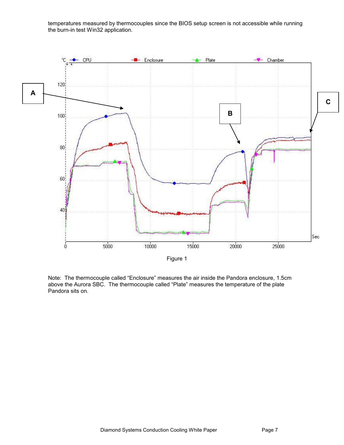temperatures measured by thermocouples since the BIOS setup screen is not accessible while running the burn-in test Win32 application.



Note: The thermocouple called "Enclosure" measures the air inside the Pandora enclosure, 1.5cm above the Aurora SBC. The thermocouple called "Plate" measures the temperature of the plate Pandora sits on.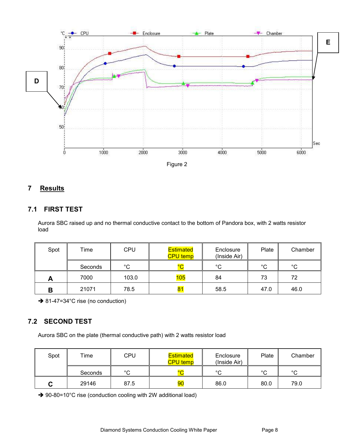

# <span id="page-7-0"></span>**7 Results**

## <span id="page-7-1"></span>**7.1 FIRST TEST**

Aurora SBC raised up and no thermal conductive contact to the bottom of Pandora box, with 2 watts resistor load

| Spot | Time    | CPU         | <b>Estimated</b><br><b>CPU</b> temp | Enclosure<br>(Inside Air) | Plate  | Chamber |
|------|---------|-------------|-------------------------------------|---------------------------|--------|---------|
|      | Seconds | $^{\circ}C$ | $\overline{\ }$                     | $^{\circ}C$               | $\sim$ | $\circ$ |
| . .  | 7000    | 103.0       | 105                                 | 84                        | 73     | 72      |
| В    | 21071   | 78.5        | 81                                  | 58.5                      | 47.0   | 46.0    |

**→ 81-47=34°C rise (no conduction)** 

# <span id="page-7-2"></span>**7.2 SECOND TEST**

Aurora SBC on the plate (thermal conductive path) with 2 watts resistor load

| Spot | $T$ ime | <b>CPU</b>   | <b>Estimated</b><br><b>CPU temp</b> | Enclosure<br>(Inside Air) | Plate  | Chamber |
|------|---------|--------------|-------------------------------------|---------------------------|--------|---------|
|      | Seconds | $\circ$<br>ັ | $\overline{\phantom{0}}$            | $\sim$                    | $\sim$ | $\circ$ |
|      | 29146   | 87.5         | 90                                  | 86.0                      | 80.0   | 79.0    |

→ 90-80=10°C rise (conduction cooling with 2W additional load)